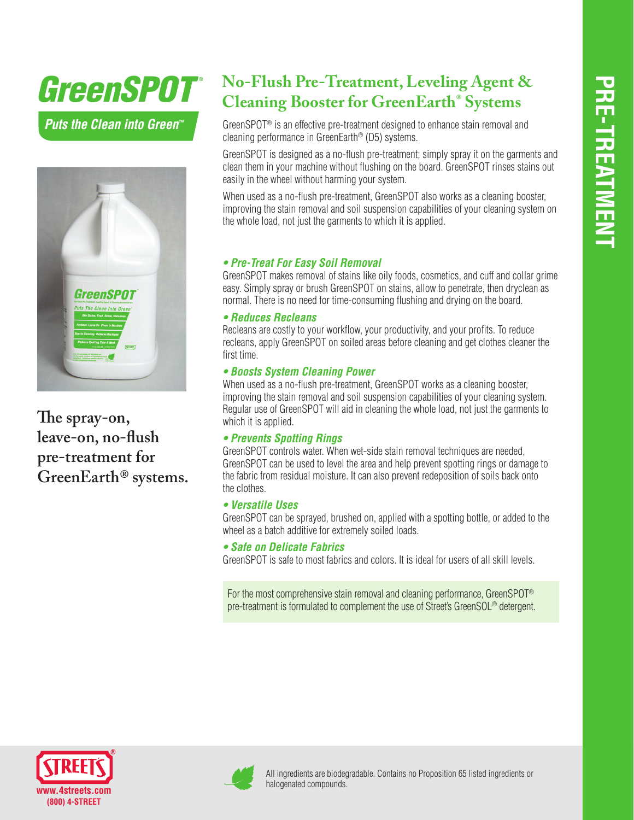# *GreenSPOT*

*Puts the Clean into Green™*



**The spray-on, leave-on, no-flush pre-treatment for GreenEarth® systems.**

## **No-Flush Pre-Treatment, Leveling Agent & Cleaning Booster for GreenEarth® Systems**

GreenSPOT® is an effective pre-treatment designed to enhance stain removal and cleaning performance in GreenEarth® (D5) systems.

GreenSPOT is designed as a no-flush pre-treatment; simply spray it on the garments and clean them in your machine without flushing on the board. GreenSPOT rinses stains out easily in the wheel without harming your system.

When used as a no-flush pre-treatment. GreenSPOT also works as a cleaning booster, improving the stain removal and soil suspension capabilities of your cleaning system on the whole load, not just the garments to which it is applied.

### **• Pre-Treat For Easy Soil Removal**

GreenSPOT makes removal of stains like oily foods, cosmetics, and cuff and collar grime easy. Simply spray or brush GreenSPOT on stains, allow to penetrate, then dryclean as normal. There is no need for time-consuming flushing and drying on the board.

### **• Reduces Recleans**

Recleans are costly to your workflow, your productivity, and your profits. To reduce recleans, apply GreenSPOT on soiled areas before cleaning and get clothes cleaner the first time.

### **• Boosts System Cleaning Power**

When used as a no-flush pre-treatment, GreenSPOT works as a cleaning booster, improving the stain removal and soil suspension capabilities of your cleaning system. Regular use of GreenSPOT will aid in cleaning the whole load, not just the garments to which it is applied.

### **• Prevents Spotting Rings**

GreenSPOT controls water. When wet-side stain removal techniques are needed, GreenSPOT can be used to level the area and help prevent spotting rings or damage to the fabric from residual moisture. It can also prevent redeposition of soils back onto the clothes.

### **• Versatile Uses**

GreenSPOT can be sprayed, brushed on, applied with a spotting bottle, or added to the wheel as a batch additive for extremely soiled loads.

### **• Safe on Delicate Fabrics**

GreenSPOT is safe to most fabrics and colors. It is ideal for users of all skill levels.

For the most comprehensive stain removal and cleaning performance, GreenSPOT® pre-treatment is formulated to complement the use of Street's GreenSOL® detergent.